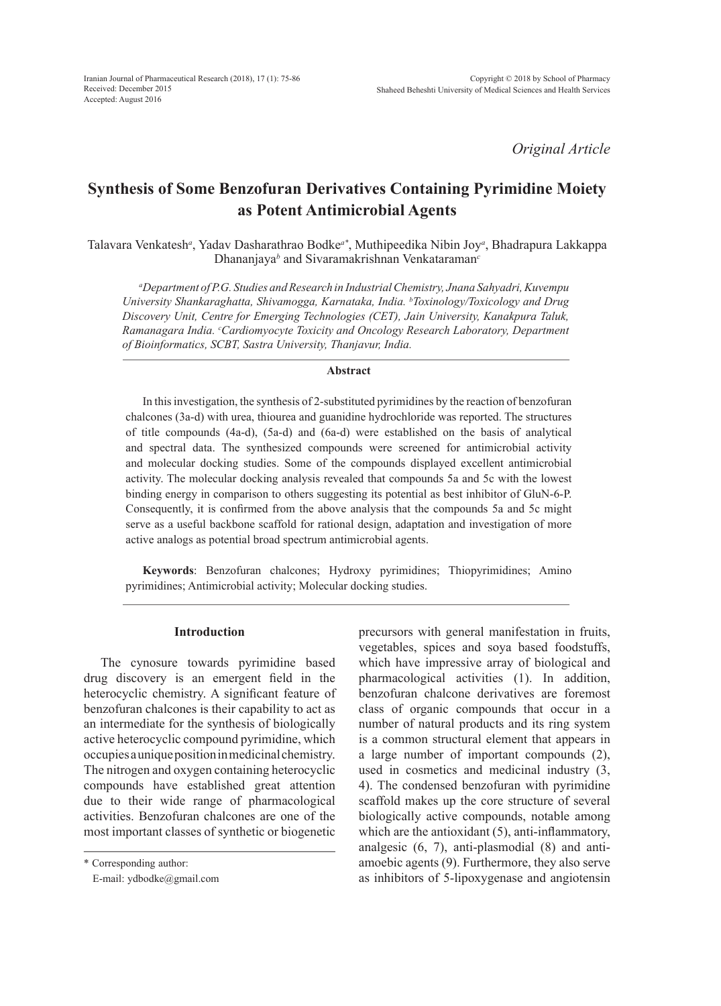*Original Article*

# **Synthesis of Some Benzofuran Derivatives Containing Pyrimidine Moiety as Potent Antimicrobial Agents**

Talavara Venkatesh*<sup>a</sup>* , Yadav Dasharathrao Bodke*a\**, Muthipeedika Nibin Joy*<sup>a</sup>* , Bhadrapura Lakkappa Dhananjaya*<sup>b</sup>* and Sivaramakrishnan Venkataraman*<sup>c</sup>*

*a Department of P.G. Studies and Research in Industrial Chemistry, Jnana Sahyadri, Kuvempu University Shankaraghatta, Shivamogga, Karnataka, India. b Toxinology/Toxicology and Drug Discovery Unit, Centre for Emerging Technologies (CET), Jain University, Kanakpura Taluk, Ramanagara India. c Cardiomyocyte Toxicity and Oncology Research Laboratory, Department of Bioinformatics, SCBT, Sastra University, Thanjavur, India.*

#### **Abstract**

In this investigation, the synthesis of 2-substituted pyrimidines by the reaction of benzofuran chalcones (3a-d) with urea, thiourea and guanidine hydrochloride was reported. The structures of title compounds (4a-d), (5a-d) and (6a-d) were established on the basis of analytical and spectral data. The synthesized compounds were screened for antimicrobial activity and molecular docking studies. Some of the compounds displayed excellent antimicrobial activity. The molecular docking analysis revealed that compounds 5a and 5c with the lowest binding energy in comparison to others suggesting its potential as best inhibitor of GluN-6-P. Consequently, it is confirmed from the above analysis that the compounds 5a and 5c might serve as a useful backbone scaffold for rational design, adaptation and investigation of more active analogs as potential broad spectrum antimicrobial agents.

**Keywords**: Benzofuran chalcones; Hydroxy pyrimidines; Thiopyrimidines; Amino pyrimidines; Antimicrobial activity; Molecular docking studies.

## **Introduction**

The cynosure towards pyrimidine based drug discovery is an emergent field in the heterocyclic chemistry. A significant feature of benzofuran chalcones is their capability to act as an intermediate for the synthesis of biologically active heterocyclic compound pyrimidine, which occupies a unique position in medicinal chemistry. The nitrogen and oxygen containing heterocyclic compounds have established great attention due to their wide range of pharmacological activities. Benzofuran chalcones are one of the most important classes of synthetic or biogenetic

\* Corresponding author:

E-mail: ydbodke@gmail.com

precursors with general manifestation in fruits, vegetables, spices and soya based foodstuffs, which have impressive array of biological and pharmacological activities (1). In addition, benzofuran chalcone derivatives are foremost class of organic compounds that occur in a number of natural products and its ring system is a common structural element that appears in a large number of important compounds (2), used in cosmetics and medicinal industry (3, 4). The condensed benzofuran with pyrimidine scaffold makes up the core structure of several biologically active compounds, notable among which are the antioxidant (5), anti-inflammatory, analgesic (6, 7), anti-plasmodial (8) and antiamoebic agents (9). Furthermore, they also serve as inhibitors of 5-lipoxygenase and angiotensin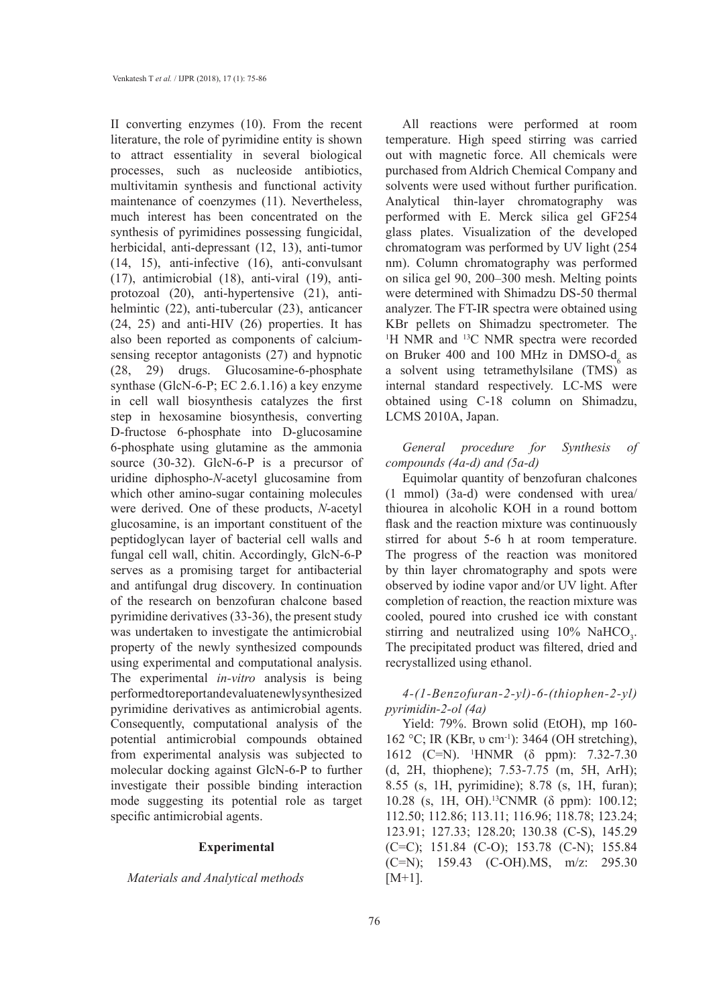II converting enzymes (10). From the recent literature, the role of pyrimidine entity is shown to attract essentiality in several biological processes, such as nucleoside antibiotics, multivitamin synthesis and functional activity maintenance of coenzymes (11). Nevertheless, much interest has been concentrated on the synthesis of pyrimidines possessing fungicidal, herbicidal, anti-depressant (12, 13), anti-tumor (14, 15), anti-infective (16), anti-convulsant (17), antimicrobial (18), anti-viral (19), antiprotozoal (20), anti-hypertensive (21), antihelmintic (22), anti-tubercular (23), anticancer (24, 25) and anti-HIV (26) properties. It has also been reported as components of calciumsensing receptor antagonists (27) and hypnotic (28, 29) drugs. Glucosamine-6-phosphate synthase (GlcN-6-P; EC 2.6.1.16) a key enzyme in cell wall biosynthesis catalyzes the first step in hexosamine biosynthesis, converting D-fructose 6-phosphate into D-glucosamine 6-phosphate using glutamine as the ammonia source (30-32). GlcN-6-P is a precursor of uridine diphospho-*N*-acetyl glucosamine from which other amino-sugar containing molecules were derived. One of these products, *N*-acetyl glucosamine, is an important constituent of the peptidoglycan layer of bacterial cell walls and fungal cell wall, chitin. Accordingly, GlcN-6-P serves as a promising target for antibacterial and antifungal drug discovery. In continuation of the research on benzofuran chalcone based pyrimidine derivatives (33-36), the present study was undertaken to investigate the antimicrobial property of the newly synthesized compounds using experimental and computational analysis. The experimental *in-vitro* analysis is being performed to report and evaluate newly synthesized pyrimidine derivatives as antimicrobial agents. Consequently, computational analysis of the potential antimicrobial compounds obtained from experimental analysis was subjected to molecular docking against GlcN-6-P to further investigate their possible binding interaction mode suggesting its potential role as target specific antimicrobial agents.

#### **Experimental**

## *Materials and Analytical methods*

All reactions were performed at room temperature. High speed stirring was carried out with magnetic force. All chemicals were purchased from Aldrich Chemical Company and solvents were used without further purification. Analytical thin-layer chromatography was performed with E. Merck silica gel GF254 glass plates. Visualization of the developed chromatogram was performed by UV light (254 nm). Column chromatography was performed on silica gel 90, 200–300 mesh. Melting points were determined with Shimadzu DS-50 thermal analyzer. The FT-IR spectra were obtained using KBr pellets on Shimadzu spectrometer. The <sup>1</sup>H NMR and <sup>13</sup>C NMR spectra were recorded on Bruker 400 and 100 MHz in DMSO- $d_6$  as a solvent using tetramethylsilane (TMS) as internal standard respectively. LC-MS were obtained using C-18 column on Shimadzu, LCMS 2010A, Japan.

*General procedure for Synthesis of compounds (4a-d) and (5a-d)*

Equimolar quantity of benzofuran chalcones (1 mmol) (3a-d) were condensed with urea/ thiourea in alcoholic KOH in a round bottom flask and the reaction mixture was continuously stirred for about 5-6 h at room temperature. The progress of the reaction was monitored by thin layer chromatography and spots were observed by iodine vapor and/or UV light. After completion of reaction, the reaction mixture was cooled, poured into crushed ice with constant stirring and neutralized using  $10\%$  NaHCO<sub>3</sub>. The precipitated product was filtered, dried and recrystallized using ethanol.

*4-(1-Benzofuran-2-yl)-6-(thiophen-2-yl) pyrimidin-2-ol (4a)*

Yield: 79%. Brown solid (EtOH), mp 160- 162 °C; IR (KBr, υ cm<sup>-1</sup>): 3464 (OH stretching), 1612 (C=N). 1 HNMR (δ ppm): 7.32-7.30 (d, 2H, thiophene); 7.53-7.75 (m, 5H, ArH); 8.55 (s, 1H, pyrimidine); 8.78 (s, 1H, furan); 10.28 (s, 1H, OH).13CNMR (δ ppm): 100.12; 112.50; 112.86; 113.11; 116.96; 118.78; 123.24; 123.91; 127.33; 128.20; 130.38 (C-S), 145.29 (C=C); 151.84 (C-O); 153.78 (C-N); 155.84 (C=N); 159.43 (C-OH).MS, m/z: 295.30  $[M+1]$ .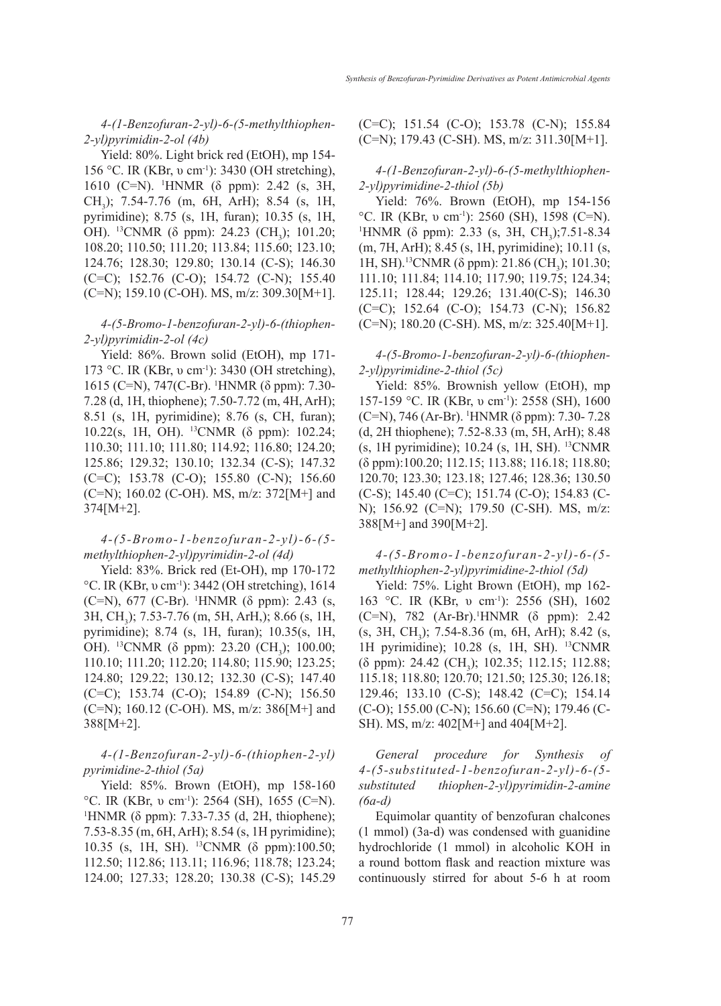*4-(1-Benzofuran-2-yl)-6-(5-methylthiophen-2-yl)pyrimidin-2-ol (4b)*

Yield: 80%. Light brick red (EtOH), mp 154- 156 °C. IR (KBr, υ cm<sup>-1</sup>): 3430 (OH stretching), 1610 (C=N). 1 HNMR (δ ppm): 2.42 (s, 3H, CH<sub>3</sub>); 7.54-7.76 (m, 6H, ArH); 8.54 (s, 1H, pyrimidine); 8.75 (s, 1H, furan); 10.35 (s, 1H, OH). <sup>13</sup>CNMR (δ ppm): 24.23 (CH<sub>3</sub>); 101.20; 108.20; 110.50; 111.20; 113.84; 115.60; 123.10; 124.76; 128.30; 129.80; 130.14 (C-S); 146.30 (C=C); 152.76 (C-O); 154.72 (C-N); 155.40  $(C=N)$ ; 159.10  $(C-OH)$ . MS, m/z: 309.30 $[M+1]$ .

## *4-(5-Bromo-1-benzofuran-2-yl)-6-(thiophen-2-yl)pyrimidin-2-ol (4c)*

Yield: 86%. Brown solid (EtOH), mp 171- 173 °C. IR (KBr, υ cm<sup>-1</sup>): 3430 (OH stretching), 1615 (C=N), 747(C-Br). 1 HNMR (δ ppm): 7.30- 7.28 (d, 1H, thiophene); 7.50-7.72 (m, 4H, ArH); 8.51 (s, 1H, pyrimidine); 8.76 (s, CH, furan); 10.22(s, 1H, OH). 13CNMR (δ ppm): 102.24; 110.30; 111.10; 111.80; 114.92; 116.80; 124.20; 125.86; 129.32; 130.10; 132.34 (C-S); 147.32 (C=C); 153.78 (C-O); 155.80 (C-N); 156.60 (C=N); 160.02 (C-OH). MS, m/z: 372[M+] and 374[M+2].

## *4-(5-Bromo-1-benzofuran-2-yl)-6-(5 methylthiophen-2-yl)pyrimidin-2-ol (4d)*

Yield: 83%. Brick red (Et-OH), mp 170-172 <sup>o</sup>C. IR (KBr, υ cm<sup>-1</sup>): 3442 (OH stretching), 1614 (C=N), 677 (C-Br). 1 HNMR (δ ppm): 2.43 (s, 3H, CH<sub>3</sub>); 7.53-7.76 (m, 5H, ArH,); 8.66 (s, 1H, pyrimidine); 8.74 (s, 1H, furan); 10.35(s, 1H, OH). <sup>13</sup>CNMR (δ ppm): 23.20 (CH<sub>3</sub>); 100.00; 110.10; 111.20; 112.20; 114.80; 115.90; 123.25; 124.80; 129.22; 130.12; 132.30 (C-S); 147.40  $(C=C)$ ; 153.74  $(C=O)$ ; 154.89  $(C=N)$ ; 156.50 (C=N); 160.12 (C-OH). MS, m/z: 386[M+] and 388[M+2].

## *4-(1-Benzofuran-2-yl)-6-(thiophen-2-yl) pyrimidine-2-thiol (5a)*

Yield: 85%. Brown (EtOH), mp 158-160 <sup>o</sup>C. IR (KBr, υ cm<sup>-1</sup>): 2564 (SH), 1655 (C=N). <sup>1</sup>HNMR (δ ppm): 7.33-7.35 (d, 2H, thiophene); 7.53-8.35 (m, 6H, ArH); 8.54 (s, 1H pyrimidine); 10.35 (s, 1H, SH). 13CNMR (δ ppm):100.50; 112.50; 112.86; 113.11; 116.96; 118.78; 123.24; 124.00; 127.33; 128.20; 130.38 (C-S); 145.29 (C=C); 151.54 (C-O); 153.78 (C-N); 155.84  $(C=N)$ ; 179.43  $(C-SH)$ . MS, m/z: 311.30 $[M+1]$ .

*4-(1-Benzofuran-2-yl)-6-(5-methylthiophen-2-yl)pyrimidine-2-thiol (5b)*

Yield: 76%. Brown (EtOH), mp 154-156 <sup>o</sup>C. IR (KBr, υ cm<sup>-1</sup>): 2560 (SH), 1598 (C=N). HNMR ( $\delta$  ppm): 2.33 (s, 3H, CH<sub>3</sub>);7.51-8.34 (m, 7H, ArH); 8.45 (s, 1H, pyrimidine); 10.11 (s, 1H, SH).<sup>13</sup>CNMR (δ ppm): 21.86 (CH<sub>3</sub>); 101.30; 111.10; 111.84; 114.10; 117.90; 119.75; 124.34; 125.11; 128.44; 129.26; 131.40(C-S); 146.30 (C=C); 152.64 (C-O); 154.73 (C-N); 156.82  $(C=N)$ ; 180.20  $(C-SH)$ . MS, m/z: 325.40[M+1].

## *4-(5-Bromo-1-benzofuran-2-yl)-6-(thiophen-2-yl)pyrimidine-2-thiol (5c)*

Yield: 85%. Brownish yellow (EtOH), mp 157-159 °C. IR (KBr, υ cm<sup>-1</sup>): 2558 (SH), 1600 (C=N), 746 (Ar-Br). 1 HNMR (δ ppm): 7.30- 7.28 (d, 2H thiophene); 7.52-8.33 (m, 5H, ArH); 8.48 (s, 1H pyrimidine); 10.24 (s, 1H, SH). 13CNMR (δ ppm):100.20; 112.15; 113.88; 116.18; 118.80; 120.70; 123.30; 123.18; 127.46; 128.36; 130.50 (C-S); 145.40 (C=C); 151.74 (C-O); 154.83 (C-N); 156.92 (C=N); 179.50 (C-SH). MS, m/z: 388[M+] and 390[M+2].

# *4-(5-Bromo-1-benzofuran-2-yl)-6-(5 methylthiophen-2-yl)pyrimidine-2-thiol (5d)*

Yield: 75%. Light Brown (EtOH), mp 162- 163 °C. IR (KBr, υ cm<sup>-1</sup>): 2556 (SH), 1602 (C=N), 782 (Ar-Br).<sup>1</sup>HNMR (δ ppm): 2.42  $(s, 3H, CH<sub>3</sub>)$ ; 7.54-8.36 (m, 6H, ArH); 8.42 (s, 1H pyrimidine); 10.28 (s, 1H, SH). 13CNMR ( $\delta$  ppm): 24.42 (CH<sub>3</sub>); 102.35; 112.15; 112.88; 115.18; 118.80; 120.70; 121.50; 125.30; 126.18; 129.46; 133.10 (C-S); 148.42 (C=C); 154.14 (C-O); 155.00 (C-N); 156.60 (C=N); 179.46 (C-SH). MS, m/z: 402[M+] and 404[M+2].

*General procedure for Synthesis of 4-(5-substituted-1-benzofuran-2-yl)-6-(5 substituted thiophen-2-yl)pyrimidin-2-amine (6a-d)*

Equimolar quantity of benzofuran chalcones (1 mmol) (3a-d) was condensed with guanidine hydrochloride (1 mmol) in alcoholic KOH in a round bottom flask and reaction mixture was continuously stirred for about 5-6 h at room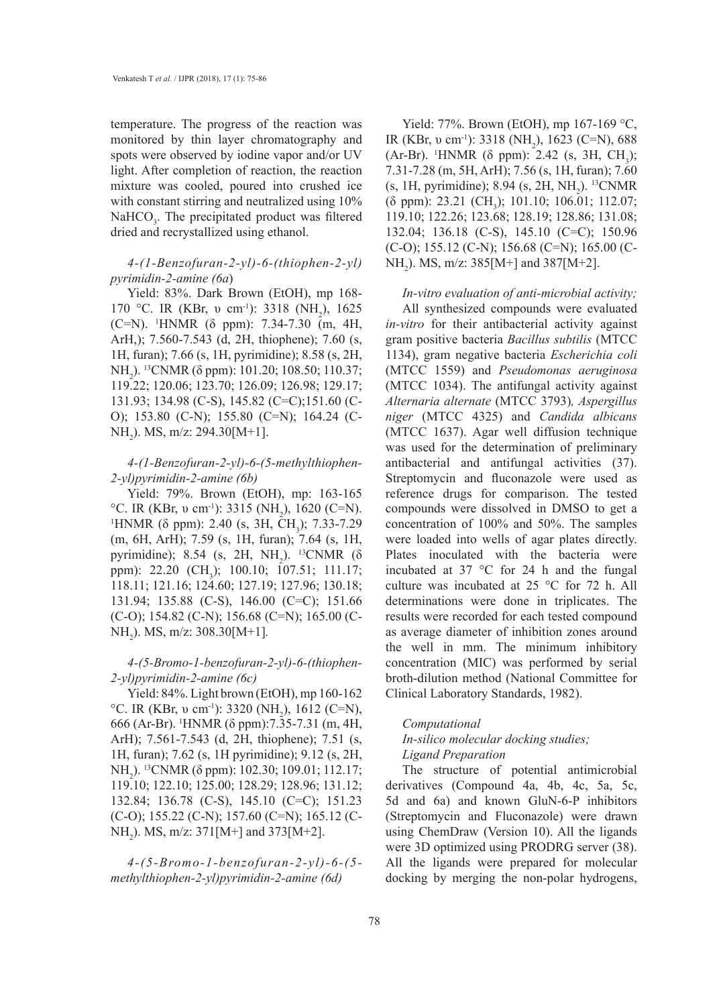temperature. The progress of the reaction was monitored by thin layer chromatography and spots were observed by iodine vapor and/or UV light. After completion of reaction, the reaction mixture was cooled, poured into crushed ice with constant stirring and neutralized using  $10\%$  $NAHCO<sub>3</sub>$ . The precipitated product was filtered dried and recrystallized using ethanol.

# *4-(1-Benzofuran-2-yl)-6-(thiophen-2-yl) pyrimidin-2-amine (6a*)

Yield: 83%. Dark Brown (EtOH), mp 168- 170 °C. IR (KBr, v cm<sup>-1</sup>): 3318 (NH<sub>2</sub>), 1625 (C=N). 1 HNMR (δ ppm): 7.34-7.30 (m, 4H, ArH,); 7.560-7.543 (d, 2H, thiophene); 7.60 (s, 1H, furan); 7.66 (s, 1H, pyrimidine); 8.58 (s, 2H, NH<sub>2</sub>). <sup>13</sup>CNMR (δ ppm): 101.20; 108.50; 110.37; 119.22; 120.06; 123.70; 126.09; 126.98; 129.17; 131.93; 134.98 (C-S), 145.82 (C=C);151.60 (C-O); 153.80 (C-N); 155.80 (C=N); 164.24 (C-NH<sub>2</sub>). MS, m/z: 294.30[M+1].

# *4-(1-Benzofuran-2-yl)-6-(5-methylthiophen-2-yl)pyrimidin-2-amine (6b)*

Yield: 79%. Brown (EtOH), mp: 163-165 °C. IR (KBr, v cm<sup>-1</sup>): 3315 (NH<sub>2</sub>), 1620 (C=N).<br><sup>1</sup>HNMR (δ npm): 2.40 (s 3H, CH): 7.33-7.29 HNMR ( $\delta$  ppm): 2.40 (s, 3H, CH<sub>3</sub>); 7.33-7.29 (m, 6H, ArH); 7.59 (s, 1H, furan); 7.64 (s, 1H, pyrimidine); 8.54 (s, 2H, NH<sub>2</sub>). <sup>13</sup>CNMR ( $\delta$ ppm): 22.20 (CH<sub>3</sub>); 100.10; 107.51; 111.17; 118.11; 121.16; 124.60; 127.19; 127.96; 130.18; 131.94; 135.88 (C-S), 146.00 (C=C); 151.66 (C-O); 154.82 (C-N); 156.68 (C=N); 165.00 (C-NH2 ). MS, m/z: 308.30[M+1]*.*

# *4-(5-Bromo-1-benzofuran-2-yl)-6-(thiophen-2-yl)pyrimidin-2-amine (6c)*

Yield: 84%. Light brown (EtOH), mp 160-162 °C. IR (KBr, v cm<sup>-1</sup>): 3320 (NH<sub>2</sub>), 1612 (C=N), 666 (Ar-Br). 1 HNMR (δ ppm):7.35-7.31 (m, 4H, ArH); 7.561-7.543 (d, 2H, thiophene); 7.51 (s, 1H, furan); 7.62 (s, 1H pyrimidine); 9.12 (s, 2H, NH<sub>2</sub>). <sup>13</sup>CNMR (δ ppm): 102.30; 109.01; 112.17; 119.10; 122.10; 125.00; 128.29; 128.96; 131.12; 132.84; 136.78 (C-S), 145.10 (C=C); 151.23 (C-O); 155.22 (C-N); 157.60 (C=N); 165.12 (C-NH<sub>2</sub>). MS, m/z: 371[M+] and 373[M+2].

*4-(5-Bromo-1-benzofuran-2-yl)-6-(5 methylthiophen-2-yl)pyrimidin-2-amine (6d)*

Yield: 77%. Brown (EtOH), mp 167-169 °C, IR (KBr, v cm<sup>-1</sup>): 3318 (NH<sub>2</sub>), 1623 (C=N), 688 (Ar-Br). <sup>1</sup>HNMR ( $\delta$  ppm): 2.42 (s, 3H, CH<sub>3</sub>); 7.31-7.28 (m, 5H, ArH); 7.56 (s, 1H, furan); 7.60  $(s, 1H, pyrimidine)$ ; 8.94  $(s, 2H, NH<sub>2</sub>)$ . <sup>13</sup>CNMR (δ ppm): 23.21 (CH<sub>3</sub>); 101.10; 106.01; 112.07; 119.10; 122.26; 123.68; 128.19; 128.86; 131.08; 132.04; 136.18 (C-S), 145.10 (C=C); 150.96  $(C-O)$ ; 155.12  $(C-N)$ ; 156.68  $(C=N)$ ; 165.00  $(C-N)$ NH<sub>2</sub>). MS, m/z:  $385[M+]$  and  $387[M+2]$ .

*In-vitro evaluation of anti-microbial activity;* All synthesized compounds were evaluated *in-vitro* for their antibacterial activity against gram positive bacteria *Bacillus subtilis* (MTCC 1134), gram negative bacteria *Escherichia coli*  (MTCC 1559) and *Pseudomonas aeruginosa*  (MTCC 1034). The antifungal activity against *Alternaria alternate* (MTCC 3793)*, Aspergillus niger* (MTCC 4325) and *Candida albicans* (MTCC 1637). Agar well diffusion technique was used for the determination of preliminary antibacterial and antifungal activities (37). Streptomycin and fluconazole were used as reference drugs for comparison. The tested compounds were dissolved in DMSO to get a concentration of 100% and 50%. The samples were loaded into wells of agar plates directly. Plates inoculated with the bacteria were incubated at 37 °C for 24 h and the fungal culture was incubated at 25 °C for 72 h. All determinations were done in triplicates. The results were recorded for each tested compound as average diameter of inhibition zones around the well in mm. The minimum inhibitory concentration (MIC) was performed by serial broth-dilution method (National Committee for Clinical Laboratory Standards, 1982).

#### *Computational*

# *In-silico molecular docking studies; Ligand Preparation*

The structure of potential antimicrobial derivatives (Compound 4a, 4b, 4c, 5a, 5c, 5d and 6a) and known GluN-6-P inhibitors (Streptomycin and Fluconazole) were drawn using ChemDraw (Version 10). All the ligands were 3D optimized using PRODRG server (38). All the ligands were prepared for molecular docking by merging the non-polar hydrogens,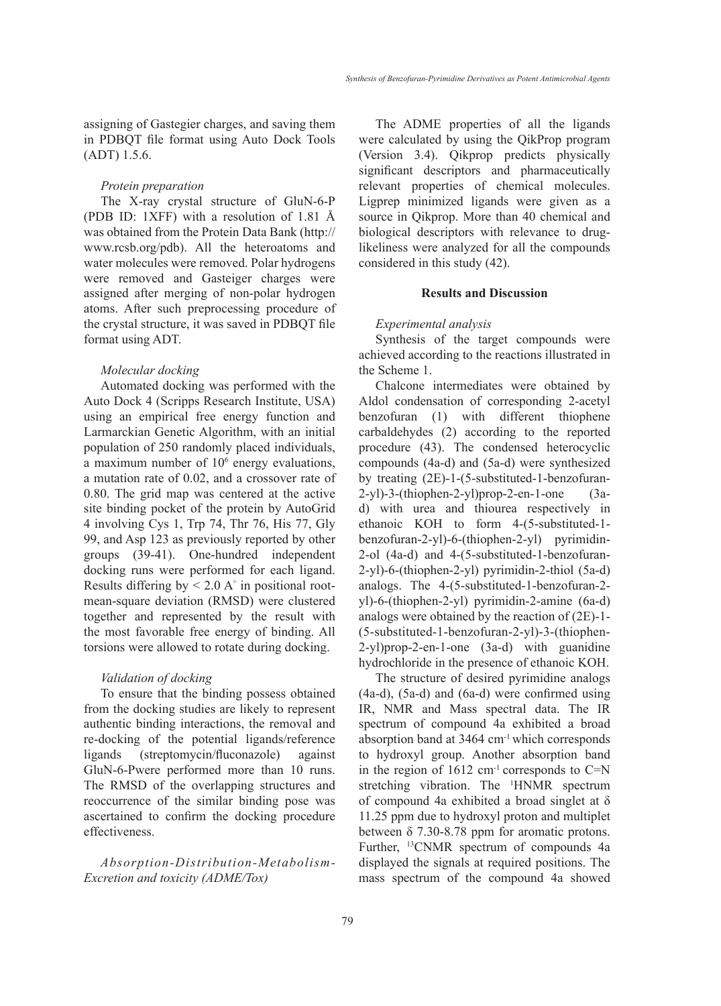assigning of Gastegier charges, and saving them in PDBQT file format using Auto Dock Tools (ADT) 1.5.6.

#### *Protein preparation*

The X-ray crystal structure of GluN-6-P (PDB ID: 1XFF) with a resolution of 1.81 Å was obtained from the Protein Data Bank (http:// www.rcsb.org/pdb). All the heteroatoms and water molecules were removed. Polar hydrogens were removed and Gasteiger charges were assigned after merging of non-polar hydrogen atoms. After such preprocessing procedure of the crystal structure, it was saved in PDBQT file format using ADT.

### *Molecular docking*

Automated docking was performed with the Auto Dock 4 (Scripps Research Institute, USA) using an empirical free energy function and Larmarckian Genetic Algorithm, with an initial population of 250 randomly placed individuals, a maximum number of 10<sup>6</sup> energy evaluations, a mutation rate of 0.02, and a crossover rate of 0.80. The grid map was centered at the active site binding pocket of the protein by AutoGrid 4 involving Cys 1, Trp 74, Thr 76, His 77, Gly 99, and Asp 123 as previously reported by other groups (39-41). One-hundred independent docking runs were performed for each ligand. Results differing by  $\leq 2.0$  A° in positional rootmean-square deviation (RMSD) were clustered together and represented by the result with the most favorable free energy of binding. All torsions were allowed to rotate during docking.

#### *Validation of docking*

To ensure that the binding possess obtained from the docking studies are likely to represent authentic binding interactions, the removal and re-docking of the potential ligands/reference ligands (streptomycin/fluconazole) against GluN-6-Pwere performed more than 10 runs. The RMSD of the overlapping structures and reoccurrence of the similar binding pose was ascertained to confirm the docking procedure effectiveness.

*Absorption-Distribution-Metabolism-Excretion and toxicity (ADME/Tox)*

The ADME properties of all the ligands were calculated by using the QikProp program (Version 3.4). Qikprop predicts physically significant descriptors and pharmaceutically relevant properties of chemical molecules. Ligprep minimized ligands were given as a source in Qikprop. More than 40 chemical and biological descriptors with relevance to druglikeliness were analyzed for all the compounds considered in this study (42).

## **Results and Discussion**

#### *Experimental analysis*

Synthesis of the target compounds were achieved according to the reactions illustrated in the Scheme 1.

Chalcone intermediates were obtained by Aldol condensation of corresponding 2-acetyl benzofuran (1) with different thiophene carbaldehydes (2) according to the reported procedure (43). The condensed heterocyclic compounds (4a-d) and (5a-d) were synthesized by treating (2E)-1-(5-substituted-1-benzofuran-2-yl)-3-(thiophen-2-yl)prop-2-en-1-one (3ad) with urea and thiourea respectively in ethanoic KOH to form 4-(5-substituted-1 benzofuran-2-yl)-6-(thiophen-2-yl) pyrimidin-2-ol (4a-d) and 4-(5-substituted-1-benzofuran-2-yl)-6-(thiophen-2-yl) pyrimidin-2-thiol (5a-d) analogs. The 4-(5-substituted-1-benzofuran-2 yl)-6-(thiophen-2-yl) pyrimidin-2-amine (6a-d) analogs were obtained by the reaction of (2E)-1- (5-substituted-1-benzofuran-2-yl)-3-(thiophen-2-yl)prop-2-en-1-one (3a-d) with guanidine hydrochloride in the presence of ethanoic KOH.

The structure of desired pyrimidine analogs (4a-d), (5a-d) and (6a-d) were confirmed using IR, NMR and Mass spectral data. The IR spectrum of compound 4a exhibited a broad absorption band at 3464 cm-1 which corresponds to hydroxyl group. Another absorption band in the region of  $1612 \text{ cm}^{-1}$  corresponds to C=N stretching vibration. The 1 HNMR spectrum of compound 4a exhibited a broad singlet at  $\delta$ 11.25 ppm due to hydroxyl proton and multiplet between δ 7.30-8.78 ppm for aromatic protons. Further, 13CNMR spectrum of compounds 4a displayed the signals at required positions. The mass spectrum of the compound 4a showed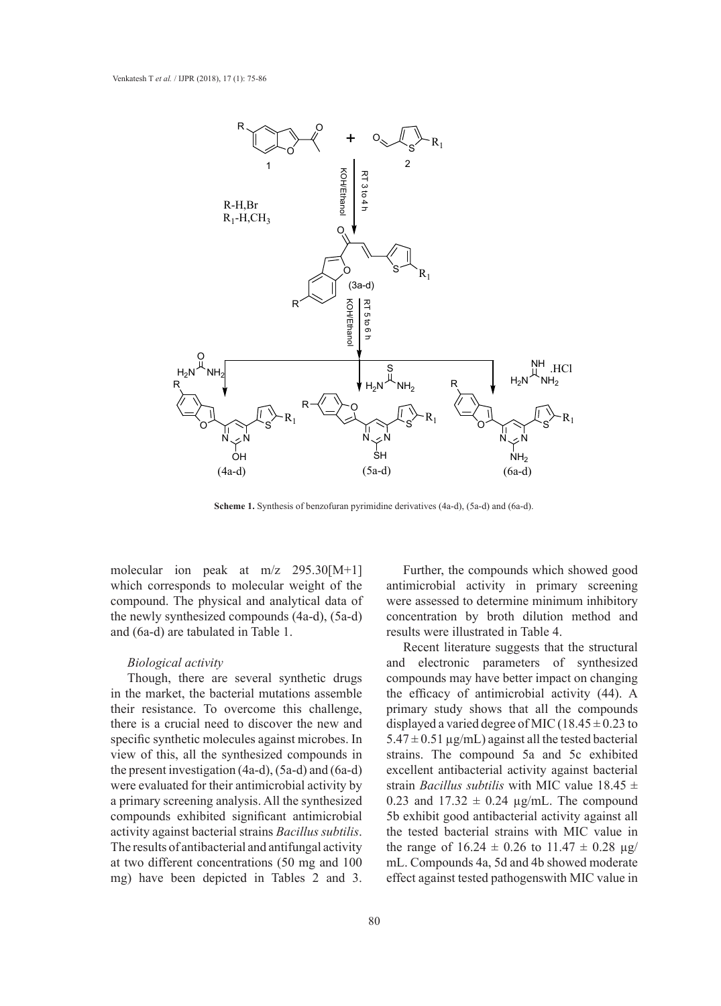

**Scheme 1.** Synthesis of benzofuran pyrimidine derivatives (4a-d), (5a-d) and (6a-d).

molecular ion peak at m/z 295.30[M+1] which corresponds to molecular weight of the compound. The physical and analytical data of the newly synthesized compounds (4a-d), (5a-d) and (6a-d) are tabulated in Table 1.

#### *Biological activity*

Though, there are several synthetic drugs in the market, the bacterial mutations assemble their resistance. To overcome this challenge, there is a crucial need to discover the new and specific synthetic molecules against microbes. In view of this, all the synthesized compounds in the present investigation (4a-d), (5a-d) and (6a-d) were evaluated for their antimicrobial activity by strategies of  $\frac{1}{\sqrt{2}}$ . a primary screening analysis. All the synthesized compounds exhibited significant antimicrobial activity against bacterial strains *Bacillus subtilis*. The results of antibacterial and antifungal activity at two different concentrations (50 mg and 100 mg) have been depicted in Tables 2 and 3.

ion peak at m/z 295.30[M+1] Further, the compounds which showed good antimicrobial activity in primary screening The physical and analytical data of were assessed to determine minimum inhibitory ynthesized compounds  $(4a-d)$ ,  $(5a-d)$  concentration by broth dilution method and results were illustrated in Table 4.

Recent literature suggests that the structural and electronic parameters of synthesized there are several synthetic drugs compounds may have better impact on changing the efficacy of antimicrobial activity  $(44)$ . A  $\overline{1}$ primary study shows that all the compounds rucial need to discover the new and displayed a varied degree of MIC (18.45  $\pm$  0.23 to  $5.47 \pm 0.51 \,\mu g/mL$ ) against all the tested bacterial s, all the synthesized compounds in strains. The compound 5a and 5c exhibited excellent antibacterial activity against bacterial strain *Bacillus subtilis* with MIC value 18.45 ± 0.23 and  $17.32 \pm 0.24$  µg/mL. The compound 5b exhibit good antibacterial activity against all the tested bacterial strains with MIC value in the range of  $16.24 \pm 0.26$  to  $11.47 \pm 0.28$  µg/ mL. Compounds 4a, 5d and 4b showed moderate effect against tested pathogenswith MIC value in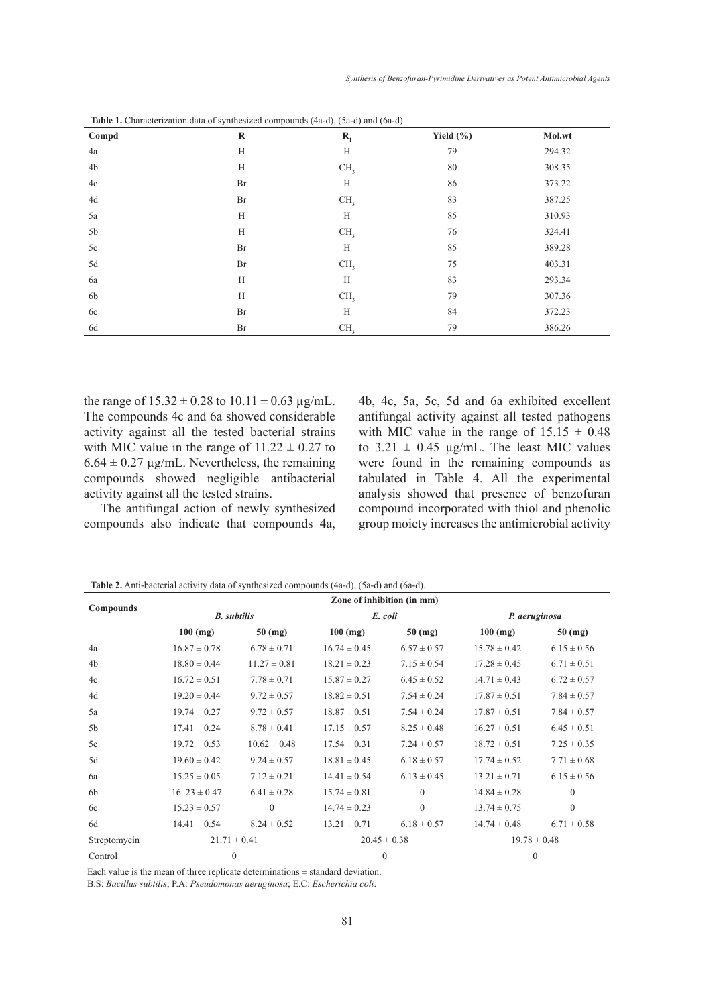| Compd          | $\bf R$ | $\mathbf{R}_{i}$ | Yield $(\% )$ | Mol.wt |
|----------------|---------|------------------|---------------|--------|
| 4a             | H       | H                | 79            | 294.32 |
| 4 <sub>b</sub> | H       | CH <sub>3</sub>  | 80            | 308.35 |
| 4c             | Br      | H                | 86            | 373.22 |
| 4d             | Br      | CH <sub>3</sub>  | 83            | 387.25 |
| 5a             | H       | H                | 85            | 310.93 |
| 5b             | H       | CH <sub>3</sub>  | 76            | 324.41 |
| 5c             | Br      | H                | 85            | 389.28 |
| 5d             | Br      | CH <sub>3</sub>  | 75            | 403.31 |
| 6a             | H       | H                | 83            | 293.34 |
| 6 <sub>b</sub> | H       | CH <sub>3</sub>  | 79            | 307.36 |
| 6c             | Br      | H                | 84            | 372.23 |
| 6d             | Br      | CH <sub>3</sub>  | 79            | 386.26 |

**Table 1.** Characterization data of synthesized compounds (4a-d), (5a-d) and (6a-d).

the range of  $15.32 \pm 0.28$  to  $10.11 \pm 0.63$  µg/mL. The compounds 4c and 6a showed considerable activity against all the tested bacterial strains with MIC value in the range of  $11.22 \pm 0.27$  to  $6.64 \pm 0.27$  µg/mL. Nevertheless, the remaining compounds showed negligible antibacterial activity against all the tested strains.

The antifungal action of newly synthesized compounds also indicate that compounds 4a, 4b, 4c, 5a, 5c, 5d and 6a exhibited excellent antifungal activity against all tested pathogens with MIC value in the range of  $15.15 \pm 0.48$ to  $3.21 \pm 0.45$  µg/mL. The least MIC values were found in the remaining compounds as tabulated in Table 4. All the experimental analysis showed that presence of benzofuran compound incorporated with thiol and phenolic group moiety increases the antimicrobial activity

**Table 2.** Anti-bacterial activity data of synthesized compounds (4a-d), (5a-d) and (6a-d).

|                | Zone of inhibition (in mm) |                  |                  |                  |                  |                  |  |
|----------------|----------------------------|------------------|------------------|------------------|------------------|------------------|--|
| Compounds      | <b>B.</b> subtilis         |                  |                  | E. coli          | P. aeruginosa    |                  |  |
|                | $100$ (mg)                 | $50$ (mg)        | $100$ (mg)       | $50$ (mg)        | $100$ (mg)       | $50$ (mg)        |  |
| 4a             | $16.87 \pm 0.78$           | $6.78 \pm 0.71$  | $16.74 \pm 0.45$ | $6.57 \pm 0.57$  | $15.78 \pm 0.42$ | $6.15 \pm 0.56$  |  |
| 4 <sub>b</sub> | $18.80 \pm 0.44$           | $11.27 \pm 0.81$ | $18.21 \pm 0.23$ | $7.15 \pm 0.54$  | $17.28 \pm 0.45$ | $6.71 \pm 0.51$  |  |
| 4c             | $16.72 \pm 0.51$           | $7.78 \pm 0.71$  | $15.87 \pm 0.27$ | $6.45 \pm 0.52$  | $14.71 \pm 0.43$ | $6.72 \pm 0.57$  |  |
| 4d             | $19.20 \pm 0.44$           | $9.72 \pm 0.57$  | $18.82 \pm 0.51$ | $7.54 \pm 0.24$  | $17.87 \pm 0.51$ | $7.84 \pm 0.57$  |  |
| 5a             | $19.74 \pm 0.27$           | $9.72 \pm 0.57$  | $18.87 \pm 0.51$ | $7.54 \pm 0.24$  | $17.87 \pm 0.51$ | $7.84 \pm 0.57$  |  |
| 5b             | $17.41 \pm 0.24$           | $8.78 \pm 0.41$  | $17.15 \pm 0.57$ | $8.25 \pm 0.48$  | $16.27 \pm 0.51$ | $6.45 \pm 0.51$  |  |
| 5c             | $19.72 \pm 0.53$           | $10.62 \pm 0.48$ | $17.54 \pm 0.31$ | $7.24 \pm 0.57$  | $18.72 \pm 0.51$ | $7.25 \pm 0.35$  |  |
| 5d             | $19.60 \pm 0.42$           | $9.24 \pm 0.57$  | $18.81 \pm 0.45$ | $6.18 \pm 0.57$  | $17.74 \pm 0.52$ | $7.71 \pm 0.68$  |  |
| 6a             | $15.25 \pm 0.05$           | $7.12 \pm 0.21$  | $14.41 \pm 0.54$ | $6.13 \pm 0.45$  | $13.21 \pm 0.71$ | $6.15 \pm 0.56$  |  |
| 6 <sub>b</sub> | $16.23 \pm 0.47$           | $6.41 \pm 0.28$  | $15.74 \pm 0.81$ | $\Omega$         | $14.84 \pm 0.28$ | $\overline{0}$   |  |
| 6c             | $15.23 \pm 0.57$           | $\theta$         | $14.74 \pm 0.23$ | $\theta$         | $13.74 \pm 0.75$ | $\theta$         |  |
| 6d             | $14.41 \pm 0.54$           | $8.24 \pm 0.52$  | $13.21 \pm 0.71$ | $6.18 \pm 0.57$  | $14.74 \pm 0.48$ | $6.71 \pm 0.58$  |  |
| Streptomycin   | $21.71 \pm 0.41$           |                  |                  | $20.45 \pm 0.38$ |                  | $19.78 \pm 0.48$ |  |
| Control        | $\Omega$                   |                  | $\theta$         |                  | $\mathbf{0}$     |                  |  |

Each value is the mean of three replicate determinations  $\pm$  standard deviation.

B.S: *Bacillus subtilis*; P.A: *Pseudomonas aeruginosa*; E.C: *Escherichia coli*.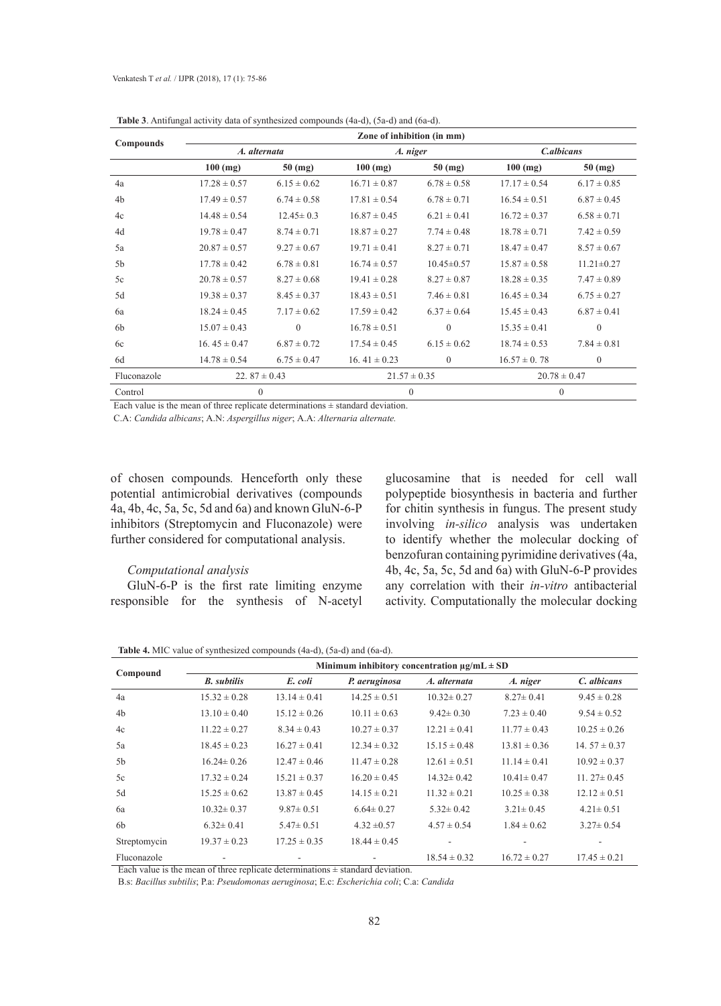| <b>Compounds</b> | Zone of inhibition (in mm) |                 |                  |                  |                  |                   |  |  |
|------------------|----------------------------|-----------------|------------------|------------------|------------------|-------------------|--|--|
|                  | A. alternata               |                 | A. niger         |                  | C.albicans       |                   |  |  |
|                  | $100$ (mg)                 | $50 \ (mg)$     | $100$ (mg)       | $50$ (mg)        | $100$ (mg)       | $50 \text{ (mg)}$ |  |  |
| 4a               | $17.28 \pm 0.57$           | $6.15 \pm 0.62$ | $16.71 \pm 0.87$ | $6.78 \pm 0.58$  | $17.17 \pm 0.54$ | $6.17 \pm 0.85$   |  |  |
| 4 <sub>b</sub>   | $17.49 \pm 0.57$           | $6.74 \pm 0.58$ | $17.81 \pm 0.54$ | $6.78 \pm 0.71$  | $16.54 \pm 0.51$ | $6.87 \pm 0.45$   |  |  |
| 4c               | $14.48 \pm 0.54$           | $12.45 \pm 0.3$ | $16.87 \pm 0.45$ | $6.21 \pm 0.41$  | $16.72 \pm 0.37$ | $6.58 \pm 0.71$   |  |  |
| 4d               | $19.78 \pm 0.47$           | $8.74 \pm 0.71$ | $18.87 \pm 0.27$ | $7.74 \pm 0.48$  | $18.78 \pm 0.71$ | $7.42 \pm 0.59$   |  |  |
| 5a               | $20.87 \pm 0.57$           | $9.27 \pm 0.67$ | $19.71 \pm 0.41$ | $8.27 \pm 0.71$  | $18.47 \pm 0.47$ | $8.57 \pm 0.67$   |  |  |
| 5 <sub>b</sub>   | $17.78 \pm 0.42$           | $6.78 \pm 0.81$ | $16.74 \pm 0.57$ | $10.45 \pm 0.57$ | $15.87 \pm 0.58$ | $11.21 \pm 0.27$  |  |  |
| 5c               | $20.78 \pm 0.57$           | $8.27 \pm 0.68$ | $19.41 \pm 0.28$ | $8.27 \pm 0.87$  | $18.28 \pm 0.35$ | $7.47 \pm 0.89$   |  |  |
| 5d               | $19.38 \pm 0.37$           | $8.45 \pm 0.37$ | $18.43 \pm 0.51$ | $7.46 \pm 0.81$  | $16.45 \pm 0.34$ | $6.75 \pm 0.27$   |  |  |
| 6a               | $18.24 \pm 0.45$           | $7.17 \pm 0.62$ | $17.59 \pm 0.42$ | $6.37 \pm 0.64$  | $15.45 \pm 0.43$ | $6.87 \pm 0.41$   |  |  |
| 6 <sub>b</sub>   | $15.07 \pm 0.43$           | $\mathbf{0}$    | $16.78 \pm 0.51$ | $\mathbf{0}$     | $15.35 \pm 0.41$ | $\mathbf{0}$      |  |  |
| 6c               | 16.45 $\pm$ 0.47           | $6.87 \pm 0.72$ | $17.54 \pm 0.45$ | $6.15 \pm 0.62$  | $18.74 \pm 0.53$ | $7.84 \pm 0.81$   |  |  |
| 6d               | $14.78 \pm 0.54$           | $6.75 \pm 0.47$ | 16.41 $\pm$ 0.23 | $\theta$         | $16.57 \pm 0.78$ | $\mathbf{0}$      |  |  |
| Fluconazole      | 22. $87 \pm 0.43$          |                 | $21.57 \pm 0.35$ |                  | $20.78 \pm 0.47$ |                   |  |  |
| Control          | $\theta$                   |                 | $\mathbf{0}$     |                  | $\Omega$         |                   |  |  |

**Table 3**. Antifungal activity data of synthesized compounds (4a-d), (5a-d) and (6a-d).

Each value is the mean of three replicate determinations  $\pm$  standard deviation.

C.A: *Candida albicans*; A.N: *Aspergillus niger*; A.A: *Alternaria alternate.*

of chosen compounds*.* Henceforth only these potential antimicrobial derivatives (compounds 4a, 4b, 4c, 5a, 5c, 5d and 6a) and known GluN-6-P inhibitors (Streptomycin and Fluconazole) were further considered for computational analysis.

## *Computational analysis*

GluN-6-P is the first rate limiting enzyme responsible for the synthesis of N-acetyl glucosamine that is needed for cell wall polypeptide biosynthesis in bacteria and further for chitin synthesis in fungus. The present study involving *in-silico* analysis was undertaken to identify whether the molecular docking of benzofuran containing pyrimidine derivatives (4a, 4b, 4c, 5a, 5c, 5d and 6a) with GluN-6-P provides any correlation with their *in-vitro* antibacterial activity. Computationally the molecular docking

**Table 4.** MIC value of synthesized compounds (4a-d), (5a-d) and (6a-d).

|                | Minimum inhibitory concentration $\mu$ g/mL $\pm$ SD |                  |                  |                  |                  |                   |  |  |
|----------------|------------------------------------------------------|------------------|------------------|------------------|------------------|-------------------|--|--|
| Compound       | <b>B.</b> subtilis                                   | E. coli          | P. aeruginosa    | A. alternata     | A. niger         | C. albicans       |  |  |
| 4a             | $15.32 \pm 0.28$                                     | $13.14 \pm 0.41$ | $14.25 \pm 0.51$ | $10.32 \pm 0.27$ | $8.27 \pm 0.41$  | $9.45 \pm 0.28$   |  |  |
| 4 <sub>b</sub> | $13.10 \pm 0.40$                                     | $15.12 \pm 0.26$ | $10.11 \pm 0.63$ | $9.42 \pm 0.30$  | $7.23 \pm 0.40$  | $9.54 \pm 0.52$   |  |  |
| 4c             | $11.22 \pm 0.27$                                     | $8.34 \pm 0.43$  | $10.27 \pm 0.37$ | $12.21 \pm 0.41$ | $11.77 \pm 0.43$ | $10.25 \pm 0.26$  |  |  |
| 5a             | $18.45 \pm 0.23$                                     | $16.27 \pm 0.41$ | $12.34 \pm 0.32$ | $15.15 \pm 0.48$ | $13.81 \pm 0.36$ | 14. $57 \pm 0.37$ |  |  |
| 5b             | $16.24 \pm 0.26$                                     | $12.47 \pm 0.46$ | $11.47 \pm 0.28$ | $12.61 \pm 0.51$ | $11.14 \pm 0.41$ | $10.92 \pm 0.37$  |  |  |
| 5c             | $17.32 \pm 0.24$                                     | $15.21 \pm 0.37$ | $16.20 \pm 0.45$ | $14.32 \pm 0.42$ | $10.41 \pm 0.47$ | $11.27 \pm 0.45$  |  |  |
| 5d             | $15.25 \pm 0.62$                                     | $13.87 \pm 0.45$ | $14.15 \pm 0.21$ | $11.32 \pm 0.21$ | $10.25 \pm 0.38$ | $12.12 \pm 0.51$  |  |  |
| 6a             | $10.32 \pm 0.37$                                     | $9.87 \pm 0.51$  | $6.64 \pm 0.27$  | $5.32 \pm 0.42$  | $3.21 \pm 0.45$  | $4.21 \pm 0.51$   |  |  |
| 6b             | $6.32 \pm 0.41$                                      | $5.47 \pm 0.51$  | $4.32 \pm 0.57$  | $4.57 \pm 0.54$  | $1.84 \pm 0.62$  | $3.27 \pm 0.54$   |  |  |
| Streptomycin   | $19.37 \pm 0.23$                                     | $17.25 \pm 0.35$ | $18.44 \pm 0.45$ |                  |                  |                   |  |  |
| Fluconazole    |                                                      |                  |                  | $18.54 \pm 0.32$ | $16.72 \pm 0.27$ | $17.45 \pm 0.21$  |  |  |

Each value is the mean of three replicate determinations  $\pm$  standard deviation.

B.s: *Bacillus subtilis*; P.a: *Pseudomonas aeruginosa*; E.c: *Escherichia coli*; C.a: *Candida*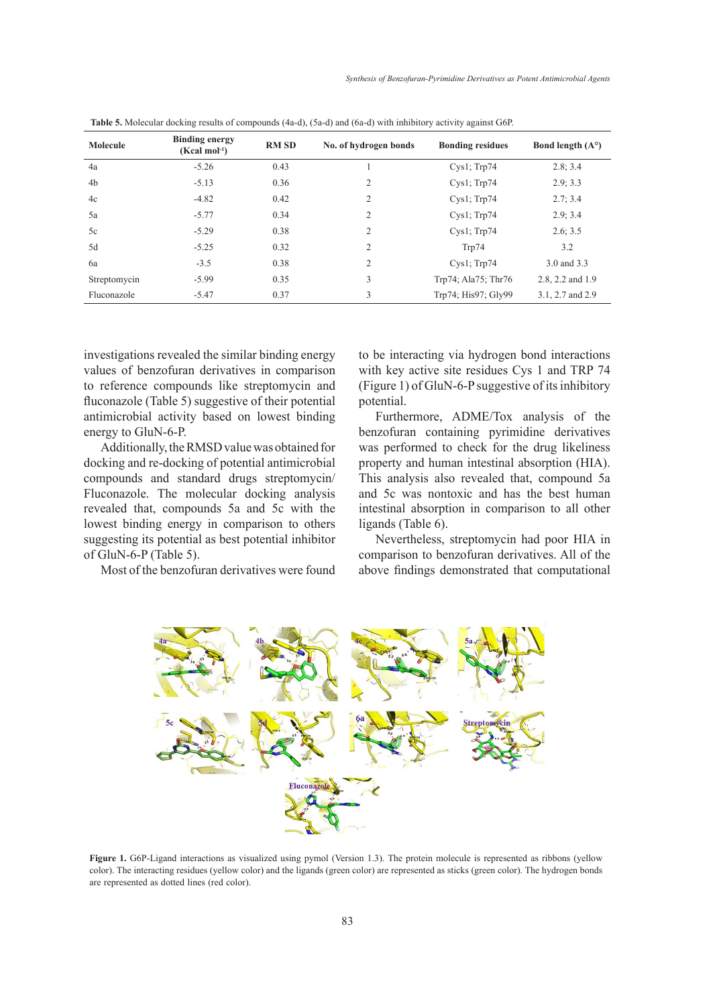| Molecule     | <b>Binding energy</b><br>$(Kcal mol-1)$ | <b>RM SD</b> | No. of hydrogen bonds | <b>Bonding residues</b> | Bond length $(A^{\circ})$ |
|--------------|-----------------------------------------|--------------|-----------------------|-------------------------|---------------------------|
| 4a           | $-5.26$                                 | 0.43         |                       | $Cys1$ ; Trp74          | 2.8:3.4                   |
| 4b           | $-5.13$                                 | 0.36         | 2                     | $Cys1$ ; $Trp74$        | 2.9; 3.3                  |
| 4c           | $-4.82$                                 | 0.42         | $\overline{2}$        | $Cys1$ ; $Trp74$        | 2.7; 3.4                  |
| 5a           | $-5.77$                                 | 0.34         | 2                     | $Cys1$ ; $Trp74$        | 2.9:3.4                   |
| 5c           | $-5.29$                                 | 0.38         | $\overline{2}$        | $Cys1$ ; $Trp74$        | 2.6; 3.5                  |
| 5d           | $-5.25$                                 | 0.32         | $\overline{2}$        | Trp74                   | 3.2                       |
| 6a           | $-3.5$                                  | 0.38         | $\overline{2}$        | $Cys1$ ; Trp74          | 3.0 and 3.3               |
| Streptomycin | $-5.99$                                 | 0.35         | 3                     | Trp74; Ala75; Thr76     | 2.8, 2.2 and 1.9          |
| Fluconazole  | $-5.47$                                 | 0.37         | 3                     | Trp74; His97; Gly99     | 3.1, 2.7 and 2.9          |

**Table 5.** Molecular docking results of compounds (4a-d), (5a-d) and (6a-d) with inhibitory activity against G6P.

investigations revealed the similar binding energy values of benzofuran derivatives in comparison to reference compounds like streptomycin and fluconazole (Table 5) suggestive of their potential antimicrobial activity based on lowest binding energy to GluN-6-P.

Additionally, the RMSD value was obtained for was performed to check for the docking and re-docking of potential antimicrobial property and human intestinal ab compounds and standard drugs streptomycin/ This analysis also revealed the Fluconazole. The molecular docking analysis and 5c was nonto revealed that, compounds 5a and 5c with the lowest binding energy in comparison to others ligands (Table 6). suggesting its potential as best potential inhibitor of GluN-6-P (Table 5). and standard drugs sucpromycing Trins analysis also revealed that,

to be interacting via hydrogen bond interactions with key active site residues Cys 1 and TRP 74 (Figure 1) of GluN-6-P suggestive of its inhibitory potential.

Furthermore, ADME/Tox analysis of the luN-6-P. benzofuran containing pyrimidine derivatives was performed to check for the drug likeliness property and human intestinal absorption (HIA). This analysis also revealed that, compound 5a and 5c was nontoxic and has the best human intestinal absorption in comparison to all other ligands (Table 6).

Most of the benzofuran derivatives were found above findings demonstrated that of Nevertheless, streptomycin had poor HIA in comparison to benzofuran derivatives. All of the above findings demonstrated that computational



**Figure 1.** G6P-Ligand interactions as visualized using pymol (Version 1.3). The protein molecule is represented as ribbons (yellow color). The interacting residues (yellow color) and the ligands (green color) are represented as sticks (green color). The hydrogen bonds are represented as dotted lines (red color).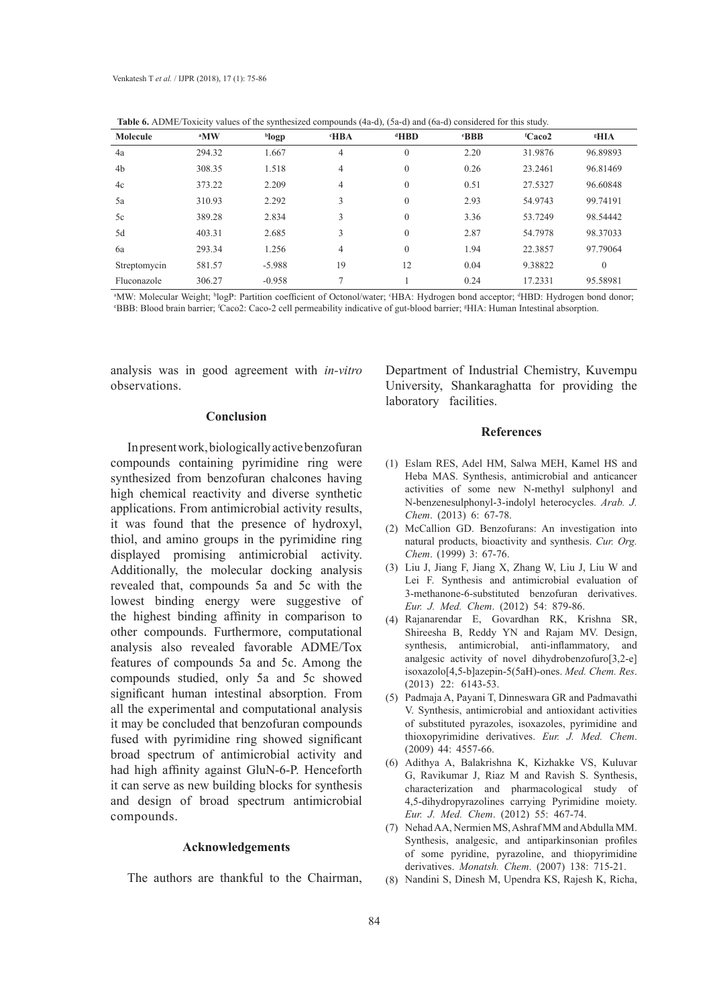| Table 0. ADIVIL/TOAKITY Values Of the synthesized compounds (4a-d), (3a-d) and (0a-d) considered for this study. |                 |          |            |                |            |                                |             |
|------------------------------------------------------------------------------------------------------------------|-----------------|----------|------------|----------------|------------|--------------------------------|-------------|
| Molecule                                                                                                         | <sup>a</sup> MW | blogp    | <b>HBA</b> | dHBD           | <b>BBB</b> | <sup>f</sup> Caco <sub>2</sub> | <b>*HIA</b> |
| 4a                                                                                                               | 294.32          | 1.667    | 4          | $\theta$       | 2.20       | 31.9876                        | 96.89893    |
| 4b                                                                                                               | 308.35          | 1.518    | 4          | $\theta$       | 0.26       | 23.2461                        | 96.81469    |
| 4c                                                                                                               | 373.22          | 2.209    | 4          | $\Omega$       | 0.51       | 27.5327                        | 96.60848    |
| 5a                                                                                                               | 310.93          | 2.292    | 3          | $\overline{0}$ | 2.93       | 54.9743                        | 99.74191    |
| 5c                                                                                                               | 389.28          | 2.834    | 3          | $\theta$       | 3.36       | 53.7249                        | 98.54442    |
| 5d                                                                                                               | 403.31          | 2.685    | 3          | $\Omega$       | 2.87       | 54.7978                        | 98.37033    |
| 6a                                                                                                               | 293.34          | 1.256    | 4          | $\mathbf{0}$   | 1.94       | 22.3857                        | 97.79064    |
| Streptomycin                                                                                                     | 581.57          | $-5.988$ | 19         | 12             | 0.04       | 9.38822                        | $\Omega$    |
| Fluconazole                                                                                                      | 306.27          | $-0.958$ |            |                | 0.24       | 17.2331                        | 95.58981    |

**Table 6.** ADME/Toxicity values of the synthesized compounds (4a-d), (5a-d) and (6a-d) considered for this study.

<sup>a</sup>MW: Molecular Weight; <sup>b</sup>logP: Partition coefficient of Octonol/water; <sup>e</sup>HBA: Hydrogen bond acceptor; <sup>a</sup>HBD: Hydrogen bond donor;<br>eBBB: Blood brain barrier: <sup>i</sup>Caco2: Caco-2 cell permeability indicative of qut-blood b BBB: Blood brain barrier; <sup>f</sup>Caco2: Caco-2 cell permeability indicative of gut-blood barrier; <sup>g</sup>HIA: Human Intestinal absorption.

analysis was in good agreement with *in-vitro* observations.

#### **Conclusion**

In present work, biologically active benzofuran compounds containing pyrimidine ring were synthesized from benzofuran chalcones having high chemical reactivity and diverse synthetic applications. From antimicrobial activity results, it was found that the presence of hydroxyl, thiol, and amino groups in the pyrimidine ring displayed promising antimicrobial activity. Additionally, the molecular docking analysis revealed that, compounds 5a and 5c with the lowest binding energy were suggestive of the highest binding affinity in comparison to other compounds. Furthermore, computational analysis also revealed favorable ADME/Tox features of compounds 5a and 5c. Among the compounds studied, only 5a and 5c showed significant human intestinal absorption. From all the experimental and computational analysis it may be concluded that benzofuran compounds fused with pyrimidine ring showed significant broad spectrum of antimicrobial activity and had high affinity against GluN-6-P. Henceforth it can serve as new building blocks for synthesis and design of broad spectrum antimicrobial compounds.

#### **Acknowledgements**

The authors are thankful to the Chairman,

Department of Industrial Chemistry, Kuvempu University, Shankaraghatta for providing the laboratory facilities.

#### **References**

- Eslam RES, Adel HM, Salwa MEH, Kamel HS and (1) Heba MAS. Synthesis, antimicrobial and anticancer activities of some new N-methyl sulphonyl and N-benzenesulphonyl-3-indolyl heterocycles. *Arab. J. Chem*. (2013) 6: 67-78.
- (2) McCallion GD. Benzofurans: An investigation into natural products, bioactivity and synthesis. *Cur. Org. Chem*. (1999) 3: 67-76.
- Liu J, Jiang F, Jiang X, Zhang W, Liu J, Liu W and (3) Lei F. Synthesis and antimicrobial evaluation of 3-methanone-6-substituted benzofuran derivatives. *Eur. J. Med. Chem*. (2012) 54: 879-86.
- Rajanarendar E, Govardhan RK, Krishna SR, (4) Shireesha B, Reddy YN and Rajam MV. Design, synthesis, antimicrobial, anti-inflammatory, and analgesic activity of novel dihydrobenzofuro[3,2-e] isoxazolo[4,5-b]azepin-5(5aH)-ones. *Med. Chem. Res*. (2013) 22: 6143-53.
- Padmaja A, Payani T, Dinneswara GR and Padmavathi (5) V. Synthesis, antimicrobial and antioxidant activities of substituted pyrazoles, isoxazoles, pyrimidine and thioxopyrimidine derivatives. *Eur. J. Med. Chem*. (2009) 44: 4557-66.
- Adithya A, Balakrishna K, Kizhakke VS, Kuluvar (6) G, Ravikumar J, Riaz M and Ravish S. Synthesis, characterization and pharmacological study of 4,5-dihydropyrazolines carrying Pyrimidine moiety. *Eur. J. Med. Chem*. (2012) 55: 467-74.
- (7) Nehad AA, Nermien MS, Ashraf MM and Abdulla MM. Synthesis, analgesic, and antiparkinsonian profiles of some pyridine, pyrazoline, and thiopyrimidine derivatives. *Monatsh. Chem*. (2007) 138: 715-21.
- (8) Nandini S, Dinesh M, Upendra KS, Rajesh K, Richa,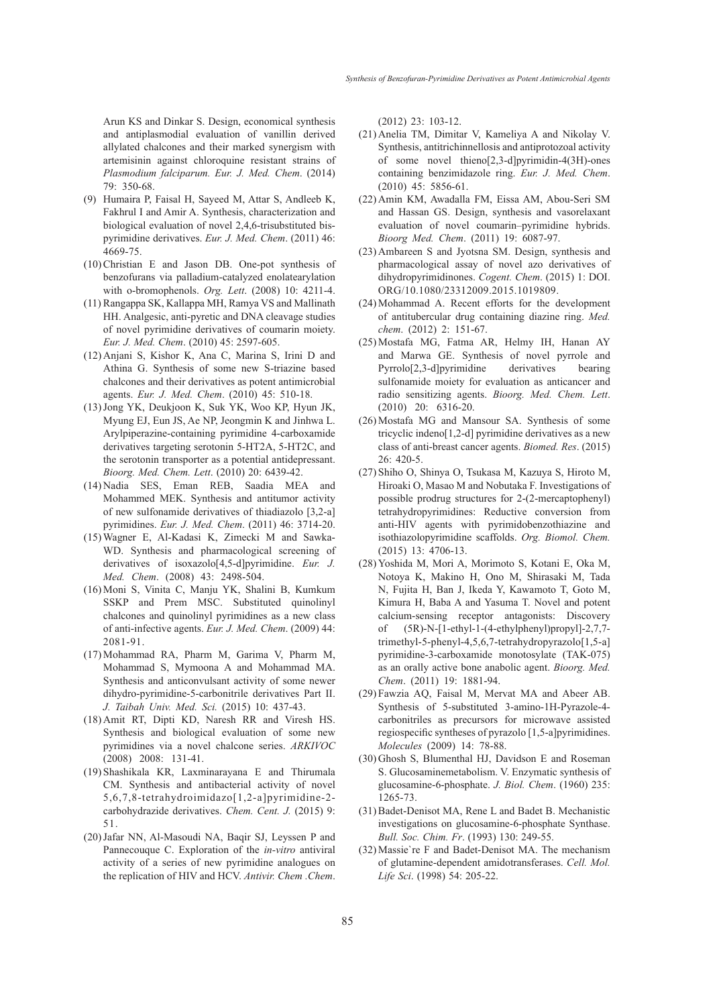Arun KS and Dinkar S. Design, economical synthesis and antiplasmodial evaluation of vanillin derived allylated chalcones and their marked synergism with artemisinin against chloroquine resistant strains of *Plasmodium falciparum. Eur. J. Med. Chem*. (2014) 79: 350-68.

- (9) Humaira P, Faisal H, Sayeed M, Attar S, Andleeb K, Fakhrul I and Amir A. Synthesis, characterization and biological evaluation of novel 2,4,6-trisubstituted bispyrimidine derivatives. *Eur. J. Med. Chem*. (2011) 46: 4669-75.
- $(10)$  Christian E and Jason DB. One-pot synthesis of benzofurans via palladium-catalyzed enolatearylation with o-bromophenols. *Org. Lett*. (2008) 10: 4211-4.
- (11) Rangappa SK, Kallappa MH, Ramya VS and Mallinath HH. Analgesic, anti-pyretic and DNA cleavage studies of novel pyrimidine derivatives of coumarin moiety. *Eur. J. Med. Chem*. (2010) 45: 2597-605.
- Anjani S, Kishor K, Ana C, Marina S, Irini D and (12) Athina G. Synthesis of some new S-triazine based chalcones and their derivatives as potent antimicrobial agents. *Eur. J. Med. Chem*. (2010) 45: 510-18.
- (13) Jong YK, Deukjoon K, Suk YK, Woo KP, Hyun JK, Myung EJ, Eun JS, Ae NP, Jeongmin K and Jinhwa L. Arylpiperazine-containing pyrimidine 4-carboxamide derivatives targeting serotonin 5-HT2A, 5-HT2C, and the serotonin transporter as a potential antidepressant. *Bioorg. Med. Chem. Lett*. (2010) 20: 6439-42.
- Nadia SES, Eman REB, Saadia MEA and (14) Mohammed MEK. Synthesis and antitumor activity of new sulfonamide derivatives of thiadiazolo [3,2-a] pyrimidines. *Eur. J. Med. Chem*. (2011) 46: 3714-20.
- Wagner E, Al-Kadasi K, Zimecki M and Sawka-(15) WD. Synthesis and pharmacological screening of derivatives of isoxazolo[4,5-d]pyrimidine. *Eur. J. Med. Chem*. (2008) 43: 2498-504.
- (16) Moni S, Vinita C, Manju YK, Shalini B, Kumkum SSKP and Prem MSC. Substituted quinolinyl chalcones and quinolinyl pyrimidines as a new class of anti-infective agents. *Eur. J. Med. Chem*. (2009) 44: 2081-91.
- Mohammad RA, Pharm M, Garima V, Pharm M, (17) Mohammad S, Mymoona A and Mohammad MA. Synthesis and anticonvulsant activity of some newer dihydro-pyrimidine-5-carbonitrile derivatives Part II. *J. Taibah Univ. Med. Sci.* (2015) 10: 437-43.
- (18) Amit RT, Dipti KD, Naresh RR and Viresh HS. Synthesis and biological evaluation of some new pyrimidines via a novel chalcone series. *ARKIVOC* (2008) 2008: 131-41.
- (19) Shashikala KR, Laxminarayana E and Thirumala CM. Synthesis and antibacterial activity of novel 5,6,7,8-tetrahydroimidazo[1,2-a]pyrimidine-2 carbohydrazide derivatives. *Chem. Cent. J.* (2015) 9: 51.
- (20) Jafar NN, Al-Masoudi NA, Baqir SJ, Leyssen P and Pannecouque C. Exploration of the *in-vitro* antiviral activity of a series of new pyrimidine analogues on the replication of HIV and HCV. *Antivir. Chem .Chem*.

(2012) 23: 103-12.

- $(21)$  Anelia TM, Dimitar V, Kameliya A and Nikolay V. Synthesis, antitrichinnellosis and antiprotozoal activity of some novel thieno[2,3-d]pyrimidin-4(3H)-ones containing benzimidazole ring. *Eur. J. Med. Chem*. (2010) 45: 5856-61.
- (22) Amin KM, Awadalla FM, Eissa AM, Abou-Seri SM and Hassan GS. Design, synthesis and vasorelaxant evaluation of novel coumarin–pyrimidine hybrids. *Bioorg Med. Chem*. (2011) 19: 6087-97.
- (23) Ambareen S and Jyotsna SM. Design, synthesis and pharmacological assay of novel azo derivatives of dihydropyrimidinones. *Cogent. Chem*. (2015) 1: DOI. ORG/10.1080/23312009.2015.1019809.
- (24) Mohammad A. Recent efforts for the development of antitubercular drug containing diazine ring. *Med. chem*. (2012) 2: 151-67.
- (25) Mostafa MG, Fatma AR, Helmy IH, Hanan AY and Marwa GE. Synthesis of novel pyrrole and Pyrrolo[2,3-d]pyrimidine derivatives bearing sulfonamide moiety for evaluation as anticancer and radio sensitizing agents. *Bioorg. Med. Chem. Lett*. (2010) 20: 6316-20.
- (26) Mostafa MG and Mansour SA. Synthesis of some tricyclic indeno[1,2-d] pyrimidine derivatives as a new class of anti-breast cancer agents. *Biomed. Res*. (2015) 26: 420-5.
- (27) Shiho O, Shinya O, Tsukasa M, Kazuya S, Hiroto M, Hiroaki O, Masao M and Nobutaka F. Investigations of possible prodrug structures for 2-(2-mercaptophenyl) tetrahydropyrimidines: Reductive conversion from anti-HIV agents with pyrimidobenzothiazine and isothiazolopyrimidine scaffolds. *Org. Biomol. Chem.* (2015) 13: 4706-13.
- (28) Yoshida M, Mori A, Morimoto S, Kotani E, Oka M, Notoya K, Makino H, Ono M, Shirasaki M, Tada N, Fujita H, Ban J, Ikeda Y, Kawamoto T, Goto M, Kimura H, Baba A and Yasuma T. Novel and potent calcium-sensing receptor antagonists: Discovery of (5R)-N-[1-ethyl-1-(4-ethylphenyl)propyl]-2,7,7 trimethyl-5-phenyl-4,5,6,7-tetrahydropyrazolo[1,5-a] pyrimidine-3-carboxamide monotosylate (TAK-075) as an orally active bone anabolic agent. *Bioorg. Med. Chem*. (2011) 19: 1881-94.
- Fawzia AQ, Faisal M, Mervat MA and Abeer AB. (29) Synthesis of 5-substituted 3-amino-1H-Pyrazole-4 carbonitriles as precursors for microwave assisted regiospecific syntheses of pyrazolo [1,5-a]pyrimidines. *Molecules* (2009) 14: 78-88.
- (30) Ghosh S, Blumenthal HJ, Davidson E and Roseman S. Glucosaminemetabolism. V. Enzymatic synthesis of glucosamine-6-phosphate. *J. Biol. Chem*. (1960) 235: 1265-73.
- (31) Badet-Denisot MA, Rene L and Badet B. Mechanistic investigations on glucosamine-6-phosphate Synthase. *Bull. Soc. Chim. Fr*. (1993) 130: 249-55.
- (32) Massie're F and Badet-Denisot MA. The mechanism of glutamine-dependent amidotransferases. *Cell. Mol. Life Sci*. (1998) 54: 205-22.